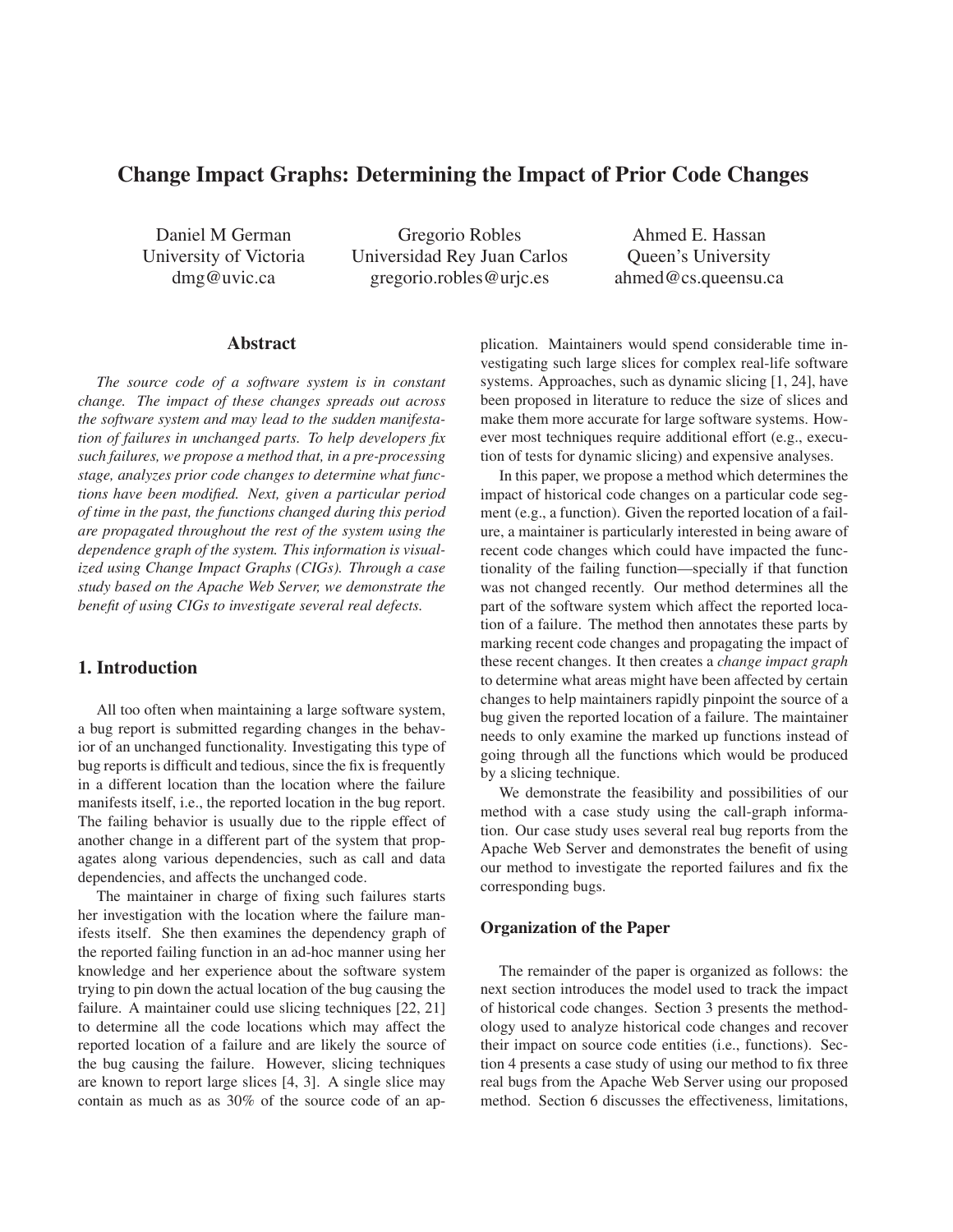# **Change Impact Graphs: Determining the Impact of Prior Code Changes**

Daniel M German University of Victoria dmg@uvic.ca

Gregorio Robles Universidad Rey Juan Carlos gregorio.robles@urjc.es

Ahmed E. Hassan Queen's University ahmed@cs.queensu.ca

## **Abstract**

*The source code of a software system is in constant change. The impact of these changes spreads out across the software system and may lead to the sudden manifestation of failures in unchanged parts. To help developers fix such failures, we propose a method that, in a pre-processing stage, analyzes prior code changes to determine what functions have been modified. Next, given a particular period of time in the past, the functions changed during this period are propagated throughout the rest of the system using the dependence graph of the system. This information is visualized using Change Impact Graphs (CIGs). Through a case study based on the Apache Web Server, we demonstrate the benefit of using CIGs to investigate several real defects.*

## **1. Introduction**

All too often when maintaining a large software system, a bug report is submitted regarding changes in the behavior of an unchanged functionality. Investigating this type of bug reports is difficult and tedious, since the fix is frequently in a different location than the location where the failure manifests itself, i.e., the reported location in the bug report. The failing behavior is usually due to the ripple effect of another change in a different part of the system that propagates along various dependencies, such as call and data dependencies, and affects the unchanged code.

The maintainer in charge of fixing such failures starts her investigation with the location where the failure manifests itself. She then examines the dependency graph of the reported failing function in an ad-hoc manner using her knowledge and her experience about the software system trying to pin down the actual location of the bug causing the failure. A maintainer could use slicing techniques [22, 21] to determine all the code locations which may affect the reported location of a failure and are likely the source of the bug causing the failure. However, slicing techniques are known to report large slices [4, 3]. A single slice may contain as much as as 30% of the source code of an application. Maintainers would spend considerable time investigating such large slices for complex real-life software systems. Approaches, such as dynamic slicing [1, 24], have been proposed in literature to reduce the size of slices and make them more accurate for large software systems. However most techniques require additional effort (e.g., execution of tests for dynamic slicing) and expensive analyses.

In this paper, we propose a method which determines the impact of historical code changes on a particular code segment (e.g., a function). Given the reported location of a failure, a maintainer is particularly interested in being aware of recent code changes which could have impacted the functionality of the failing function—specially if that function was not changed recently. Our method determines all the part of the software system which affect the reported location of a failure. The method then annotates these parts by marking recent code changes and propagating the impact of these recent changes. It then creates a *change impact graph* to determine what areas might have been affected by certain changes to help maintainers rapidly pinpoint the source of a bug given the reported location of a failure. The maintainer needs to only examine the marked up functions instead of going through all the functions which would be produced by a slicing technique.

We demonstrate the feasibility and possibilities of our method with a case study using the call-graph information. Our case study uses several real bug reports from the Apache Web Server and demonstrates the benefit of using our method to investigate the reported failures and fix the corresponding bugs.

#### **Organization of the Paper**

The remainder of the paper is organized as follows: the next section introduces the model used to track the impact of historical code changes. Section 3 presents the methodology used to analyze historical code changes and recover their impact on source code entities (i.e., functions). Section 4 presents a case study of using our method to fix three real bugs from the Apache Web Server using our proposed method. Section 6 discusses the effectiveness, limitations,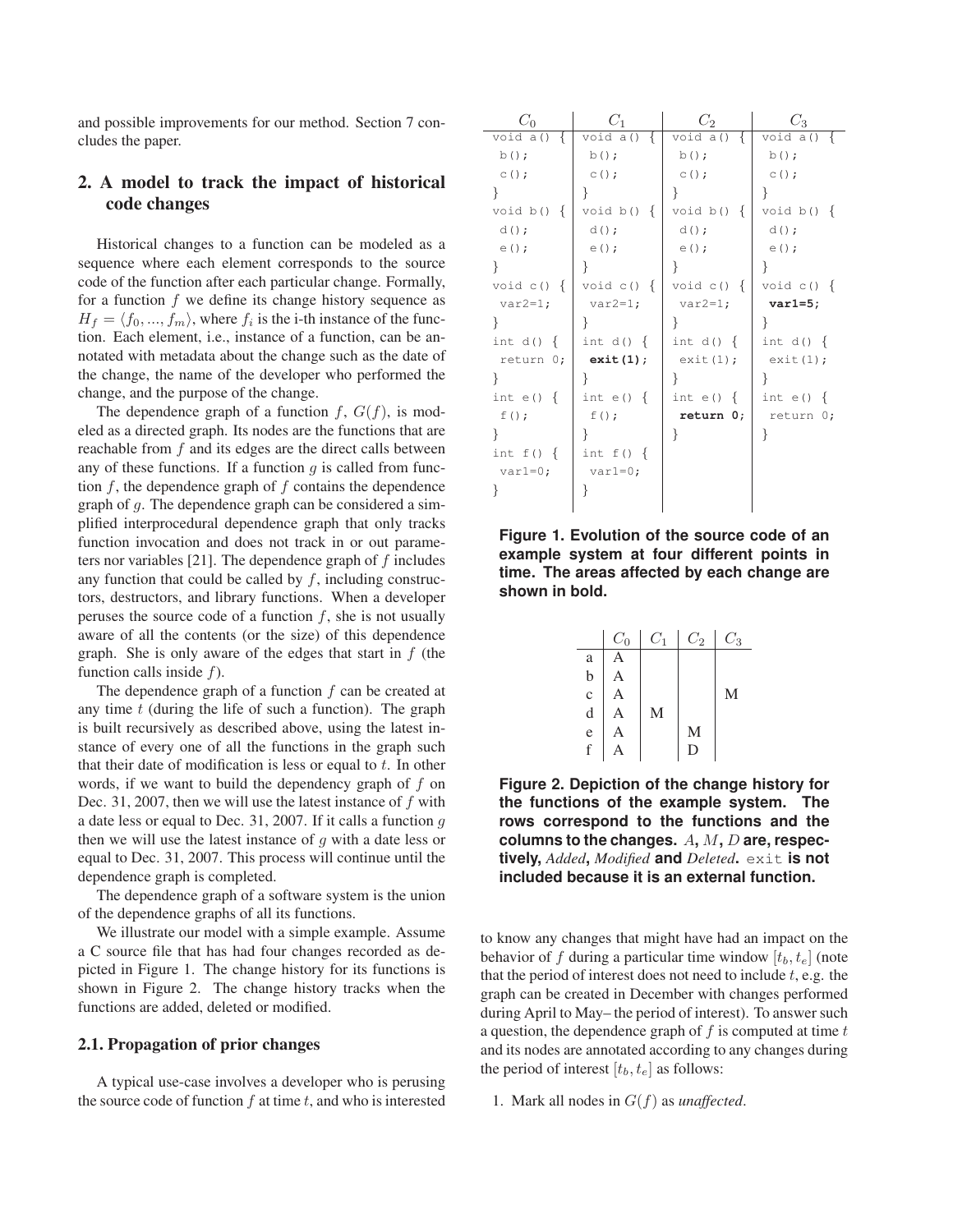and possible improvements for our method. Section 7 concludes the paper.

# **2. A model to track the impact of historical code changes**

Historical changes to a function can be modeled as a sequence where each element corresponds to the source code of the function after each particular change. Formally, for a function  $f$  we define its change history sequence as  $H_f = \langle f_0, ..., f_m \rangle$ , where  $f_i$  is the i-th instance of the function. Each element, i.e., instance of a function, can be annotated with metadata about the change such as the date of the change, the name of the developer who performed the change, and the purpose of the change.

The dependence graph of a function  $f, G(f)$ , is modeled as a directed graph. Its nodes are the functions that are reachable from  $f$  and its edges are the direct calls between any of these functions. If a function  $q$  is called from function  $f$ , the dependence graph of  $f$  contains the dependence graph of g. The dependence graph can be considered a simplified interprocedural dependence graph that only tracks function invocation and does not track in or out parameters nor variables [21]. The dependence graph of  $f$  includes any function that could be called by  $f$ , including constructors, destructors, and library functions. When a developer peruses the source code of a function  $f$ , she is not usually aware of all the contents (or the size) of this dependence graph. She is only aware of the edges that start in  $f$  (the function calls inside  $f$ ).

The dependence graph of a function  $f$  can be created at any time  $t$  (during the life of such a function). The graph is built recursively as described above, using the latest instance of every one of all the functions in the graph such that their date of modification is less or equal to  $t$ . In other words, if we want to build the dependency graph of f on Dec. 31, 2007, then we will use the latest instance of  $f$  with a date less or equal to Dec. 31, 2007. If it calls a function  $q$ then we will use the latest instance of  $g$  with a date less or equal to Dec. 31, 2007. This process will continue until the dependence graph is completed.

The dependence graph of a software system is the union of the dependence graphs of all its functions.

We illustrate our model with a simple example. Assume a C source file that has had four changes recorded as depicted in Figure 1. The change history for its functions is shown in Figure 2. The change history tracks when the functions are added, deleted or modified.

## **2.1. Propagation of prior changes**

A typical use-case involves a developer who is perusing the source code of function  $f$  at time  $t$ , and who is interested

| $C_0$                    | $C_1$                       | $C_2$                       | $C_3$                       |
|--------------------------|-----------------------------|-----------------------------|-----------------------------|
| $\overline{v}$ oid a() { | $\overline{v}$ oid a()<br>₹ | void a()                    | void $a() \{$               |
| $b()$ ;                  | $b()$ ;                     | $b()$ ;                     | $b()$ ;                     |
| $C()$ ;                  | $C()$ ;                     | $C()$ ;                     | $C()$ ;                     |
| $\mathcal{F}$            |                             | ł                           |                             |
| void $b()$ {             | void $b() \{$               | void $b() \{$               | void $b() \{$               |
| $d()$ ;                  | $d()$ ;                     | $d()$ ;                     | $d()$ ;                     |
| $e()$ ;                  | $e()$ ;                     | $e()$ ;                     | $e()$ ;                     |
| $\mathcal{F}$            |                             | ł                           |                             |
| void $c() \{$            | void $c() \{$               | void $c() \{$               | void $c() \{$               |
| $var2=1$ ;               | $var2=1$ ;                  | $var2=1$ ;                  | $var1=5$ ;                  |
| $\}$                     | ł                           | ł                           | $\left\{ \right\}$          |
| int $d() \{$             | int $d() \{$                | int $d() \{$                | int $d() \nmid$             |
| return 0;                | exit(1);                    | ext(1);                     | ext(1);                     |
| ł                        | ł                           | ł                           | ł                           |
| int $e() \leq$           | int $e() \{$                | int $e()$ $\left\{ \right.$ | int $e()$ $\left\{ \right.$ |
| $f()$ ;                  | $f()$ ;                     | return 0;                   | return 0;                   |
| ł                        |                             | ł                           | ł                           |
| int $f()$ {              | int $f()$ {                 |                             |                             |
| $var1=0$ ;               | $var1=0$ ;                  |                             |                             |
| ł                        |                             |                             |                             |
|                          |                             |                             |                             |

**Figure 1. Evolution of the source code of an example system at four different points in time. The areas affected by each change are shown in bold.**

|             | $C_0$ | $C_1$ | $C_2$ | $C_3$ |
|-------------|-------|-------|-------|-------|
| a           | А     |       |       |       |
| $\mathbf b$ | А     |       |       |       |
| $\mathbf c$ | А     |       |       | M     |
| d           | А     | M     |       |       |
| $\mathbf e$ | А     |       | M     |       |
| f           |       |       | I)    |       |

**Figure 2. Depiction of the change history for the functions of the example system. The rows correspond to the functions and the columns to the changes.** A**,** M**,** D **are, respectively,** *Added***,** *Modified* **and** *Deleted***.** exit **is not included because it is an external function.**

to know any changes that might have had an impact on the behavior of f during a particular time window  $[t_b, t_e]$  (note that the period of interest does not need to include  $t$ , e.g. the graph can be created in December with changes performed during April to May– the period of interest). To answer such a question, the dependence graph of  $f$  is computed at time  $t$ and its nodes are annotated according to any changes during the period of interest  $[t_b, t_e]$  as follows:

1. Mark all nodes in G(f) as *unaffected*.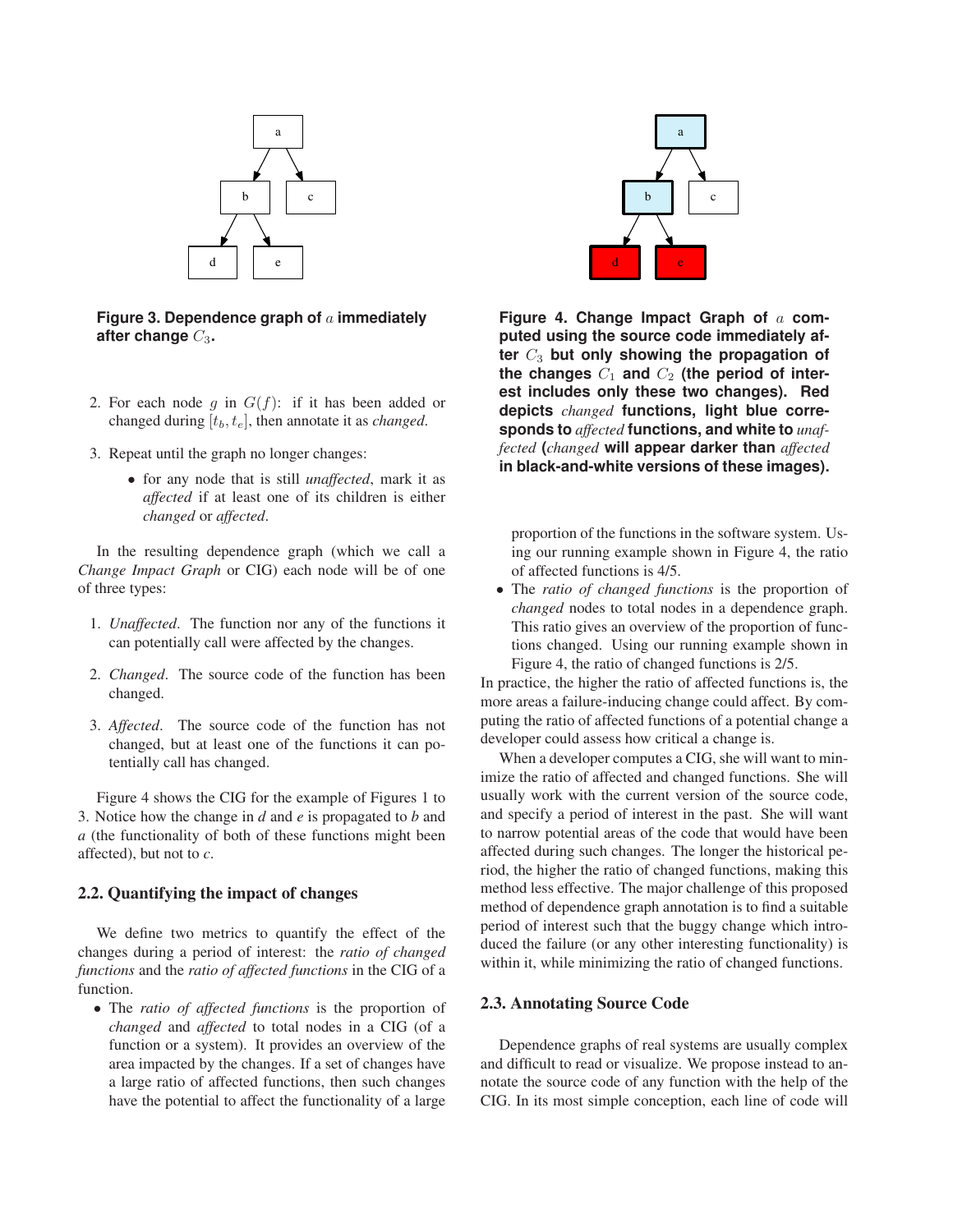

**Figure 3. Dependence graph of** a **immediately after change** C3**.**

- 2. For each node q in  $G(f)$ : if it has been added or changed during  $[t_b, t_e]$ , then annotate it as *changed*.
- 3. Repeat until the graph no longer changes:
	- for any node that is still *unaffected*, mark it as *affected* if at least one of its children is either *changed* or *affected*.

In the resulting dependence graph (which we call a *Change Impact Graph* or CIG) each node will be of one of three types:

- 1. *Unaffected*. The function nor any of the functions it can potentially call were affected by the changes.
- 2. *Changed*. The source code of the function has been changed.
- 3. *Affected*. The source code of the function has not changed, but at least one of the functions it can potentially call has changed.

Figure 4 shows the CIG for the example of Figures 1 to 3. Notice how the change in *d* and *e* is propagated to *b* and *a* (the functionality of both of these functions might been affected), but not to *c*.

## **2.2. Quantifying the impact of changes**

We define two metrics to quantify the effect of the changes during a period of interest: the *ratio of changed functions* and the *ratio of affected functions* in the CIG of a function.

• The *ratio of affected functions* is the proportion of *changed* and *affected* to total nodes in a CIG (of a function or a system). It provides an overview of the area impacted by the changes. If a set of changes have a large ratio of affected functions, then such changes have the potential to affect the functionality of a large



**Figure 4. Change Impact Graph of** a **computed using the source code immediately after** C<sup>3</sup> **but only showing the propagation of** the changes  $C_1$  and  $C_2$  (the period of inter**est includes only these two changes). Red depicts** *changed* **functions, light blue corresponds to** *affected* **functions, and white to** *unaffected* **(***changed* **will appear darker than** *affected* **in black-and-white versions of these images).**

proportion of the functions in the software system. Using our running example shown in Figure 4, the ratio of affected functions is 4/5.

• The *ratio of changed functions* is the proportion of *changed* nodes to total nodes in a dependence graph. This ratio gives an overview of the proportion of functions changed. Using our running example shown in Figure 4, the ratio of changed functions is 2/5.

In practice, the higher the ratio of affected functions is, the more areas a failure-inducing change could affect. By computing the ratio of affected functions of a potential change a developer could assess how critical a change is.

When a developer computes a CIG, she will want to minimize the ratio of affected and changed functions. She will usually work with the current version of the source code, and specify a period of interest in the past. She will want to narrow potential areas of the code that would have been affected during such changes. The longer the historical period, the higher the ratio of changed functions, making this method less effective. The major challenge of this proposed method of dependence graph annotation is to find a suitable period of interest such that the buggy change which introduced the failure (or any other interesting functionality) is within it, while minimizing the ratio of changed functions.

### **2.3. Annotating Source Code**

Dependence graphs of real systems are usually complex and difficult to read or visualize. We propose instead to annotate the source code of any function with the help of the CIG. In its most simple conception, each line of code will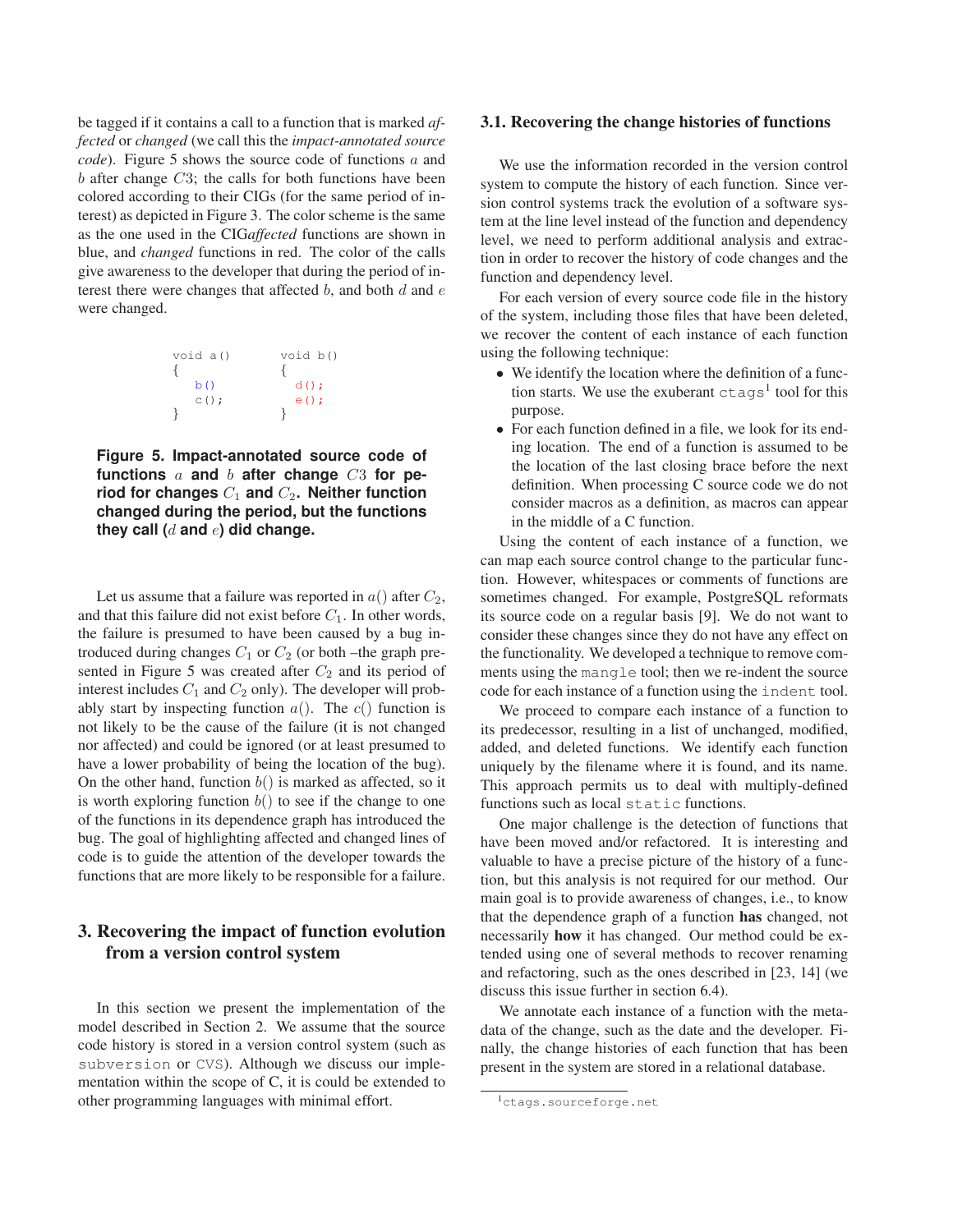be tagged if it contains a call to a function that is marked *affected* or *changed* (we call this the *impact-annotated source code*). Figure 5 shows the source code of functions a and  $b$  after change  $C3$ ; the calls for both functions have been colored according to their CIGs (for the same period of interest) as depicted in Figure 3. The color scheme is the same as the one used in the CIG*affected* functions are shown in blue, and *changed* functions in red. The color of the calls give awareness to the developer that during the period of interest there were changes that affected  $b$ , and both  $d$  and  $e$ were changed.



**Figure 5. Impact-annotated source code of functions** a **and** b **after change** C3 **for pe**riod for changes  $C_1$  and  $C_2$ . Neither function **changed during the period, but the functions they call (**d **and** e**) did change.**

Let us assume that a failure was reported in  $a()$  after  $C_2$ , and that this failure did not exist before  $C_1$ . In other words, the failure is presumed to have been caused by a bug introduced during changes  $C_1$  or  $C_2$  (or both –the graph presented in Figure 5 was created after  $C_2$  and its period of interest includes  $C_1$  and  $C_2$  only). The developer will probably start by inspecting function  $a()$ . The  $c()$  function is not likely to be the cause of the failure (it is not changed nor affected) and could be ignored (or at least presumed to have a lower probability of being the location of the bug). On the other hand, function  $b()$  is marked as affected, so it is worth exploring function  $b()$  to see if the change to one of the functions in its dependence graph has introduced the bug. The goal of highlighting affected and changed lines of code is to guide the attention of the developer towards the functions that are more likely to be responsible for a failure.

# **3. Recovering the impact of function evolution from a version control system**

In this section we present the implementation of the model described in Section 2. We assume that the source code history is stored in a version control system (such as subversion or CVS). Although we discuss our implementation within the scope of C, it is could be extended to other programming languages with minimal effort.

#### **3.1. Recovering the change histories of functions**

We use the information recorded in the version control system to compute the history of each function. Since version control systems track the evolution of a software system at the line level instead of the function and dependency level, we need to perform additional analysis and extraction in order to recover the history of code changes and the function and dependency level.

For each version of every source code file in the history of the system, including those files that have been deleted, we recover the content of each instance of each function using the following technique:

- We identify the location where the definition of a function starts. We use the exuberant  $ctags<sup>1</sup>$  tool for this purpose.
- For each function defined in a file, we look for its ending location. The end of a function is assumed to be the location of the last closing brace before the next definition. When processing C source code we do not consider macros as a definition, as macros can appear in the middle of a C function.

Using the content of each instance of a function, we can map each source control change to the particular function. However, whitespaces or comments of functions are sometimes changed. For example, PostgreSQL reformats its source code on a regular basis [9]. We do not want to consider these changes since they do not have any effect on the functionality. We developed a technique to remove comments using the mangle tool; then we re-indent the source code for each instance of a function using the indent tool.

We proceed to compare each instance of a function to its predecessor, resulting in a list of unchanged, modified, added, and deleted functions. We identify each function uniquely by the filename where it is found, and its name. This approach permits us to deal with multiply-defined functions such as local static functions.

One major challenge is the detection of functions that have been moved and/or refactored. It is interesting and valuable to have a precise picture of the history of a function, but this analysis is not required for our method. Our main goal is to provide awareness of changes, i.e., to know that the dependence graph of a function **has** changed, not necessarily **how** it has changed. Our method could be extended using one of several methods to recover renaming and refactoring, such as the ones described in [23, 14] (we discuss this issue further in section 6.4).

We annotate each instance of a function with the metadata of the change, such as the date and the developer. Finally, the change histories of each function that has been present in the system are stored in a relational database.

<sup>1</sup>ctags.sourceforge.net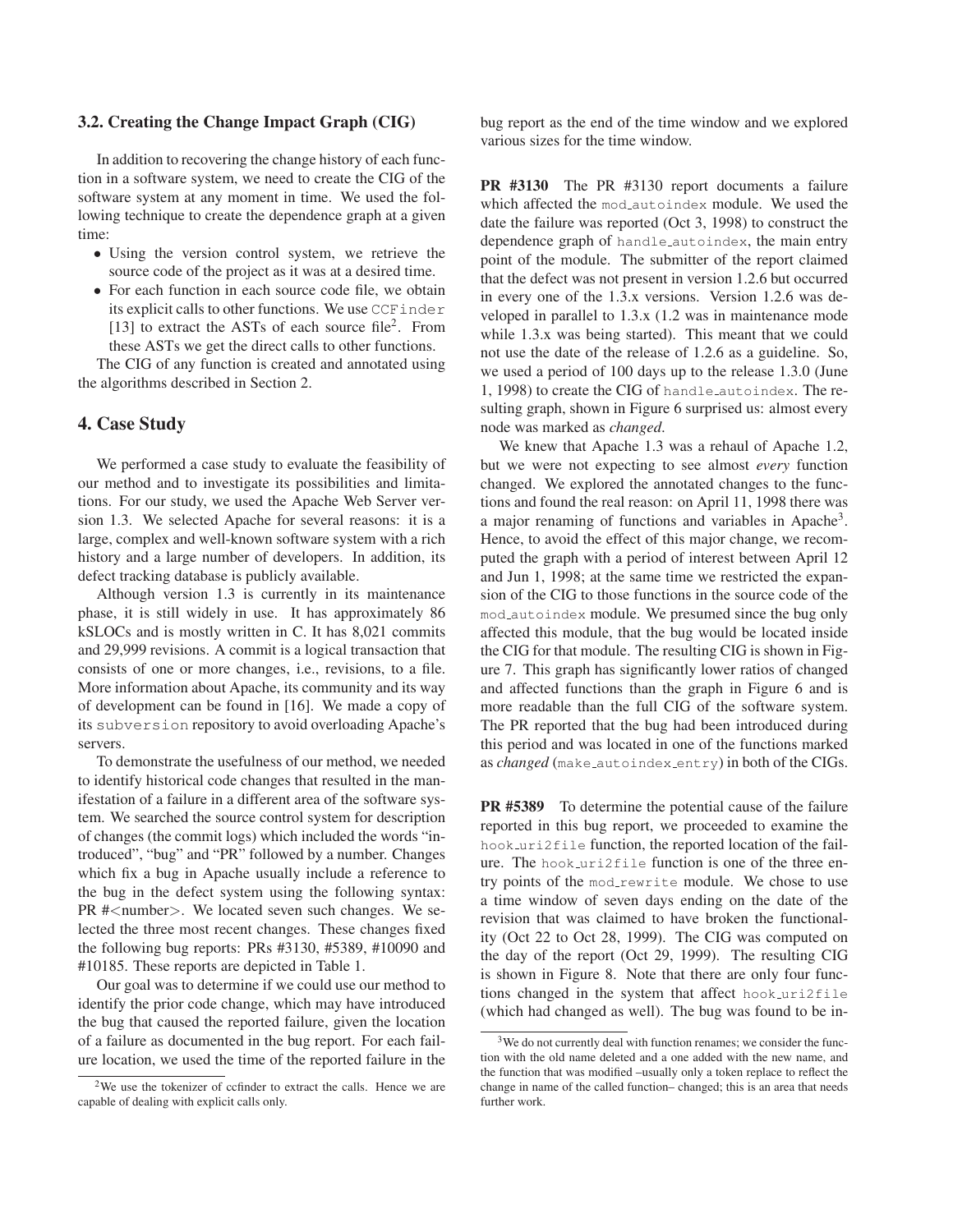### **3.2. Creating the Change Impact Graph (CIG)**

In addition to recovering the change history of each function in a software system, we need to create the CIG of the software system at any moment in time. We used the following technique to create the dependence graph at a given time:

- Using the version control system, we retrieve the source code of the project as it was at a desired time.
- For each function in each source code file, we obtain its explicit calls to other functions. We use CCFinder [13] to extract the ASTs of each source file<sup>2</sup>. From these ASTs we get the direct calls to other functions.

The CIG of any function is created and annotated using the algorithms described in Section 2.

### **4. Case Study**

We performed a case study to evaluate the feasibility of our method and to investigate its possibilities and limitations. For our study, we used the Apache Web Server version 1.3. We selected Apache for several reasons: it is a large, complex and well-known software system with a rich history and a large number of developers. In addition, its defect tracking database is publicly available.

Although version 1.3 is currently in its maintenance phase, it is still widely in use. It has approximately 86 kSLOCs and is mostly written in C. It has 8,021 commits and 29,999 revisions. A commit is a logical transaction that consists of one or more changes, i.e., revisions, to a file. More information about Apache, its community and its way of development can be found in [16]. We made a copy of its subversion repository to avoid overloading Apache's servers.

To demonstrate the usefulness of our method, we needed to identify historical code changes that resulted in the manifestation of a failure in a different area of the software system. We searched the source control system for description of changes (the commit logs) which included the words "introduced", "bug" and "PR" followed by a number. Changes which fix a bug in Apache usually include a reference to the bug in the defect system using the following syntax: PR #<number>. We located seven such changes. We selected the three most recent changes. These changes fixed the following bug reports: PRs #3130, #5389, #10090 and #10185. These reports are depicted in Table 1.

Our goal was to determine if we could use our method to identify the prior code change, which may have introduced the bug that caused the reported failure, given the location of a failure as documented in the bug report. For each failure location, we used the time of the reported failure in the bug report as the end of the time window and we explored various sizes for the time window.

**PR #3130** The PR #3130 report documents a failure which affected the mod\_autoindex module. We used the date the failure was reported (Oct 3, 1998) to construct the dependence graph of handle autoindex, the main entry point of the module. The submitter of the report claimed that the defect was not present in version 1.2.6 but occurred in every one of the 1.3.x versions. Version 1.2.6 was developed in parallel to 1.3.x (1.2 was in maintenance mode while 1.3.x was being started). This meant that we could not use the date of the release of 1.2.6 as a guideline. So, we used a period of 100 days up to the release 1.3.0 (June 1, 1998) to create the CIG of handle\_autoindex. The resulting graph, shown in Figure 6 surprised us: almost every node was marked as *changed*.

We knew that Apache 1.3 was a rehaul of Apache 1.2, but we were not expecting to see almost *every* function changed. We explored the annotated changes to the functions and found the real reason: on April 11, 1998 there was a major renaming of functions and variables in Apache<sup>3</sup>. Hence, to avoid the effect of this major change, we recomputed the graph with a period of interest between April 12 and Jun 1, 1998; at the same time we restricted the expansion of the CIG to those functions in the source code of the mod autoindex module. We presumed since the bug only affected this module, that the bug would be located inside the CIG for that module. The resulting CIG is shown in Figure 7. This graph has significantly lower ratios of changed and affected functions than the graph in Figure 6 and is more readable than the full CIG of the software system. The PR reported that the bug had been introduced during this period and was located in one of the functions marked as *changed* (make\_autoindex\_entry) in both of the CIGs.

**PR #5389** To determine the potential cause of the failure reported in this bug report, we proceeded to examine the hook uri2file function, the reported location of the failure. The hook uri2file function is one of the three entry points of the mod\_rewrite module. We chose to use a time window of seven days ending on the date of the revision that was claimed to have broken the functionality (Oct 22 to Oct 28, 1999). The CIG was computed on the day of the report (Oct 29, 1999). The resulting CIG is shown in Figure 8. Note that there are only four functions changed in the system that affect hook uri2file (which had changed as well). The bug was found to be in-

<sup>&</sup>lt;sup>2</sup>We use the tokenizer of ccfinder to extract the calls. Hence we are capable of dealing with explicit calls only.

<sup>&</sup>lt;sup>3</sup>We do not currently deal with function renames; we consider the function with the old name deleted and a one added with the new name, and the function that was modified –usually only a token replace to reflect the change in name of the called function– changed; this is an area that needs further work.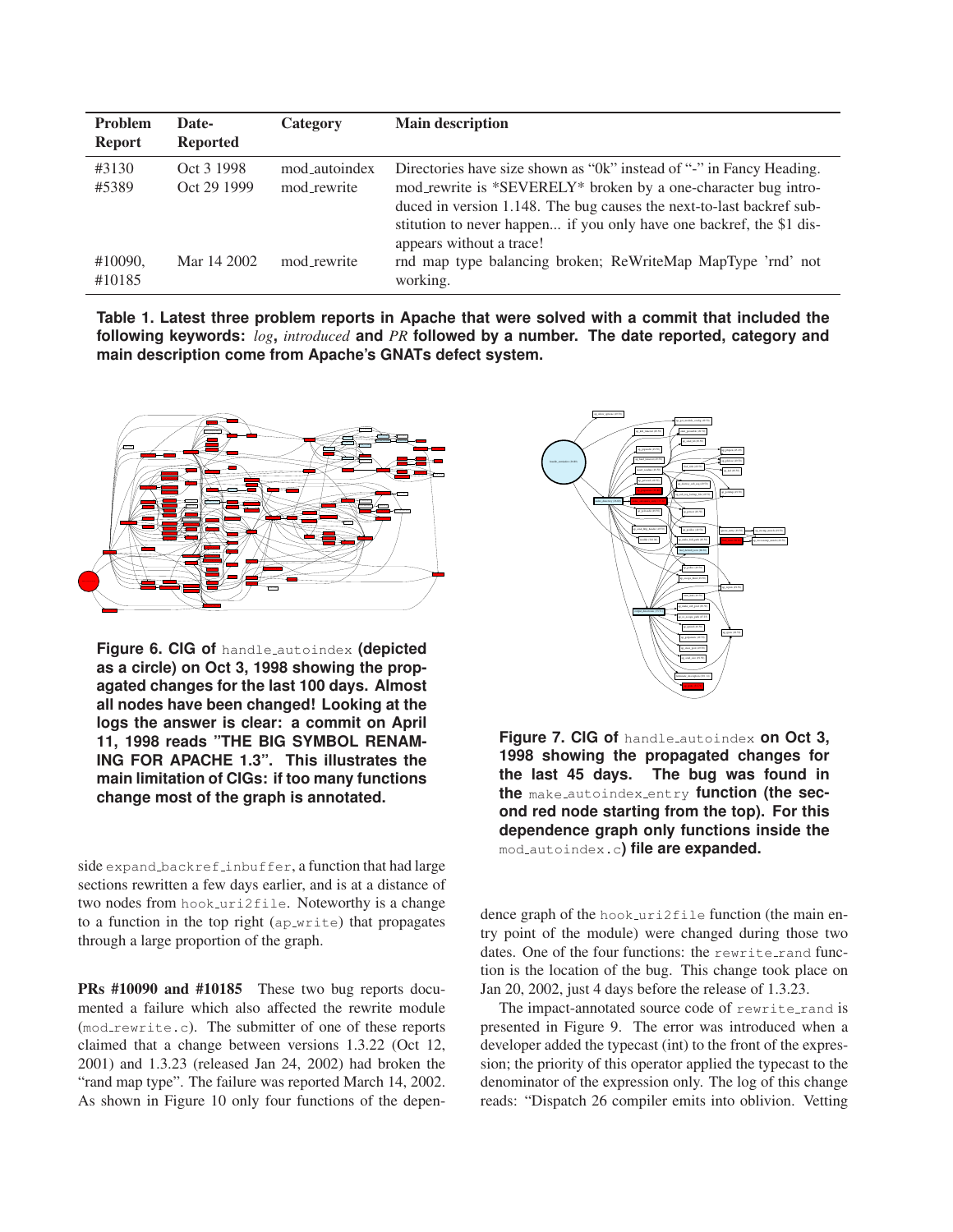| <b>Problem</b>    | Date-                     | Category                     | <b>Main description</b>                                                                                                                                                                                                                                                                                            |
|-------------------|---------------------------|------------------------------|--------------------------------------------------------------------------------------------------------------------------------------------------------------------------------------------------------------------------------------------------------------------------------------------------------------------|
| <b>Report</b>     | <b>Reported</b>           |                              |                                                                                                                                                                                                                                                                                                                    |
| #3130<br>#5389    | Oct 3 1998<br>Oct 29 1999 | mod autoindex<br>mod_rewrite | Directories have size shown as "0k" instead of "-" in Fancy Heading.<br>mod_rewrite is *SEVERELY* broken by a one-character bug intro-<br>duced in version 1.148. The bug causes the next-to-last backref sub-<br>stitution to never happen if you only have one backref, the \$1 dis-<br>appears without a trace! |
| #10090,<br>#10185 | Mar 14 2002               | mod_rewrite                  | rnd map type balancing broken; ReWriteMap MapType 'rnd' not<br>working.                                                                                                                                                                                                                                            |

**Table 1. Latest three problem reports in Apache that were solved with a commit that included the following keywords:** *log***,** *introduced* **and** *PR* **followed by a number. The date reported, category and main description come from Apache's GNATs defect system.**



**Figure 6. CIG of** handle autoindex **(depicted as a circle) on Oct 3, 1998 showing the propagated changes for the last 100 days. Almost all nodes have been changed! Looking at the logs the answer is clear: a commit on April 11, 1998 reads "THE BIG SYMBOL RENAM-ING FOR APACHE 1.3". This illustrates the main limitation of CIGs: if too many functions change most of the graph is annotated.**

side expand backref inbuffer, a function that had large sections rewritten a few days earlier, and is at a distance of two nodes from hook uri2file. Noteworthy is a change to a function in the top right (ap write) that propagates through a large proportion of the graph.

**PRs #10090 and #10185** These two bug reports documented a failure which also affected the rewrite module  $(mod$  rewrite.c). The submitter of one of these reports claimed that a change between versions 1.3.22 (Oct 12, 2001) and 1.3.23 (released Jan 24, 2002) had broken the "rand map type". The failure was reported March 14, 2002. As shown in Figure 10 only four functions of the depen-



**Figure 7. CIG of** handle autoindex **on Oct 3, 1998 showing the propagated changes for the last 45 days. The bug was found in the** make autoindex entry **function (the second red node starting from the top). For this dependence graph only functions inside the** mod autoindex.c**) file are expanded.**

dence graph of the hook uri2file function (the main entry point of the module) were changed during those two dates. One of the four functions: the rewrite rand function is the location of the bug. This change took place on Jan 20, 2002, just 4 days before the release of 1.3.23.

The impact-annotated source code of rewrite\_rand is presented in Figure 9. The error was introduced when a developer added the typecast (int) to the front of the expression; the priority of this operator applied the typecast to the denominator of the expression only. The log of this change reads: "Dispatch 26 compiler emits into oblivion. Vetting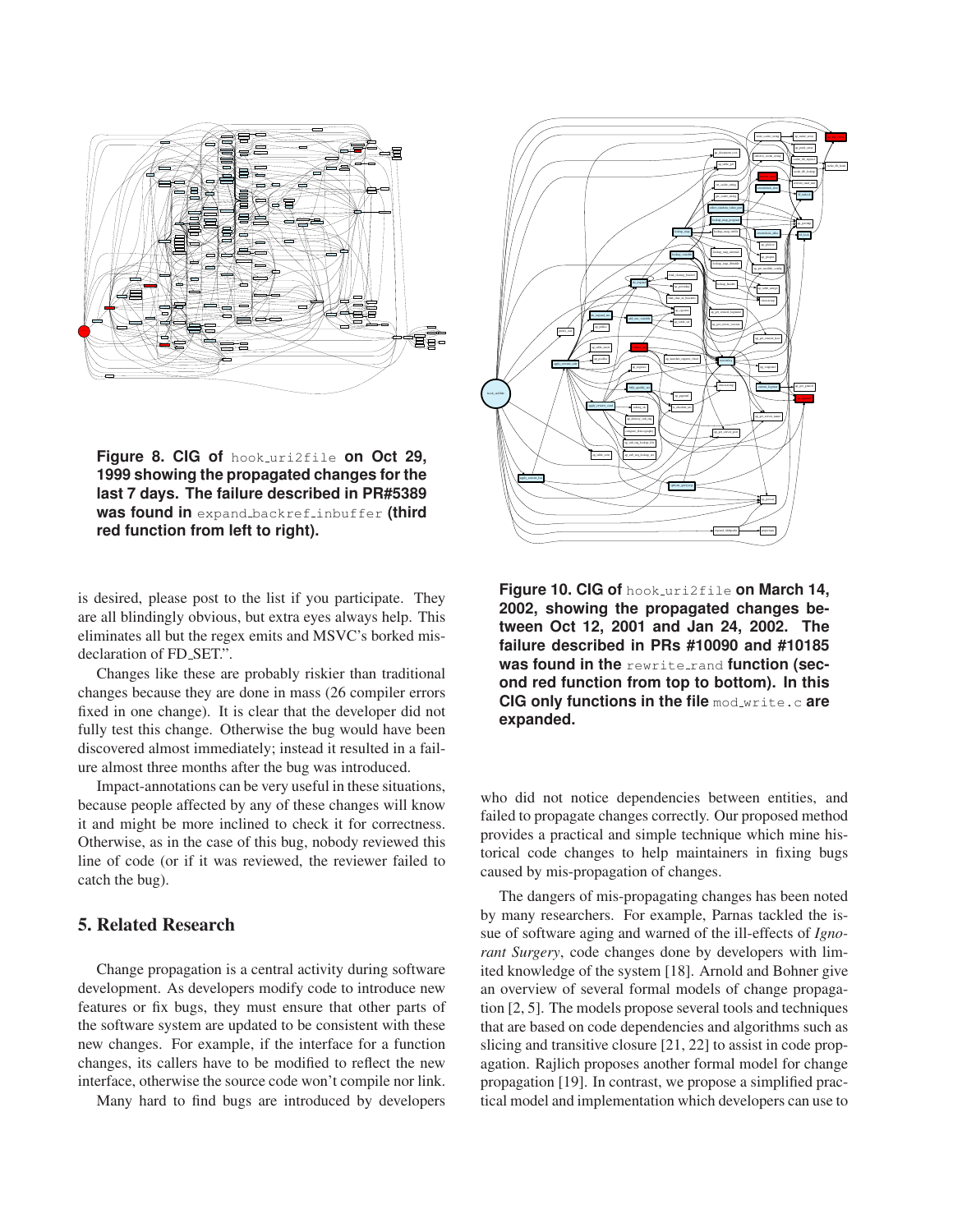

**Figure 8. CIG of** hook uri2file **on Oct 29, 1999 showing the propagated changes for the last 7 days. The failure described in PR#5389 was found in** expand backref inbuffer **(third red function from left to right).**

is desired, please post to the list if you participate. They are all blindingly obvious, but extra eyes always help. This eliminates all but the regex emits and MSVC's borked misdeclaration of FD SET.".

Changes like these are probably riskier than traditional changes because they are done in mass (26 compiler errors fixed in one change). It is clear that the developer did not fully test this change. Otherwise the bug would have been discovered almost immediately; instead it resulted in a failure almost three months after the bug was introduced.

Impact-annotations can be very useful in these situations, because people affected by any of these changes will know it and might be more inclined to check it for correctness. Otherwise, as in the case of this bug, nobody reviewed this line of code (or if it was reviewed, the reviewer failed to catch the bug).

## **5. Related Research**

Change propagation is a central activity during software development. As developers modify code to introduce new features or fix bugs, they must ensure that other parts of the software system are updated to be consistent with these new changes. For example, if the interface for a function changes, its callers have to be modified to reflect the new interface, otherwise the source code won't compile nor link.

Many hard to find bugs are introduced by developers



**Figure 10. CIG of** hook uri2file **on March 14, 2002, showing the propagated changes between Oct 12, 2001 and Jan 24, 2002. The failure described in PRs #10090 and #10185** was found in the rewrite rand function (sec**ond red function from top to bottom). In this CIG only functions in the file mod\_write.c are expanded.**

who did not notice dependencies between entities, and failed to propagate changes correctly. Our proposed method provides a practical and simple technique which mine historical code changes to help maintainers in fixing bugs caused by mis-propagation of changes.

The dangers of mis-propagating changes has been noted by many researchers. For example, Parnas tackled the issue of software aging and warned of the ill-effects of *Ignorant Surgery*, code changes done by developers with limited knowledge of the system [18]. Arnold and Bohner give an overview of several formal models of change propagation [2, 5]. The models propose several tools and techniques that are based on code dependencies and algorithms such as slicing and transitive closure [21, 22] to assist in code propagation. Rajlich proposes another formal model for change propagation [19]. In contrast, we propose a simplified practical model and implementation which developers can use to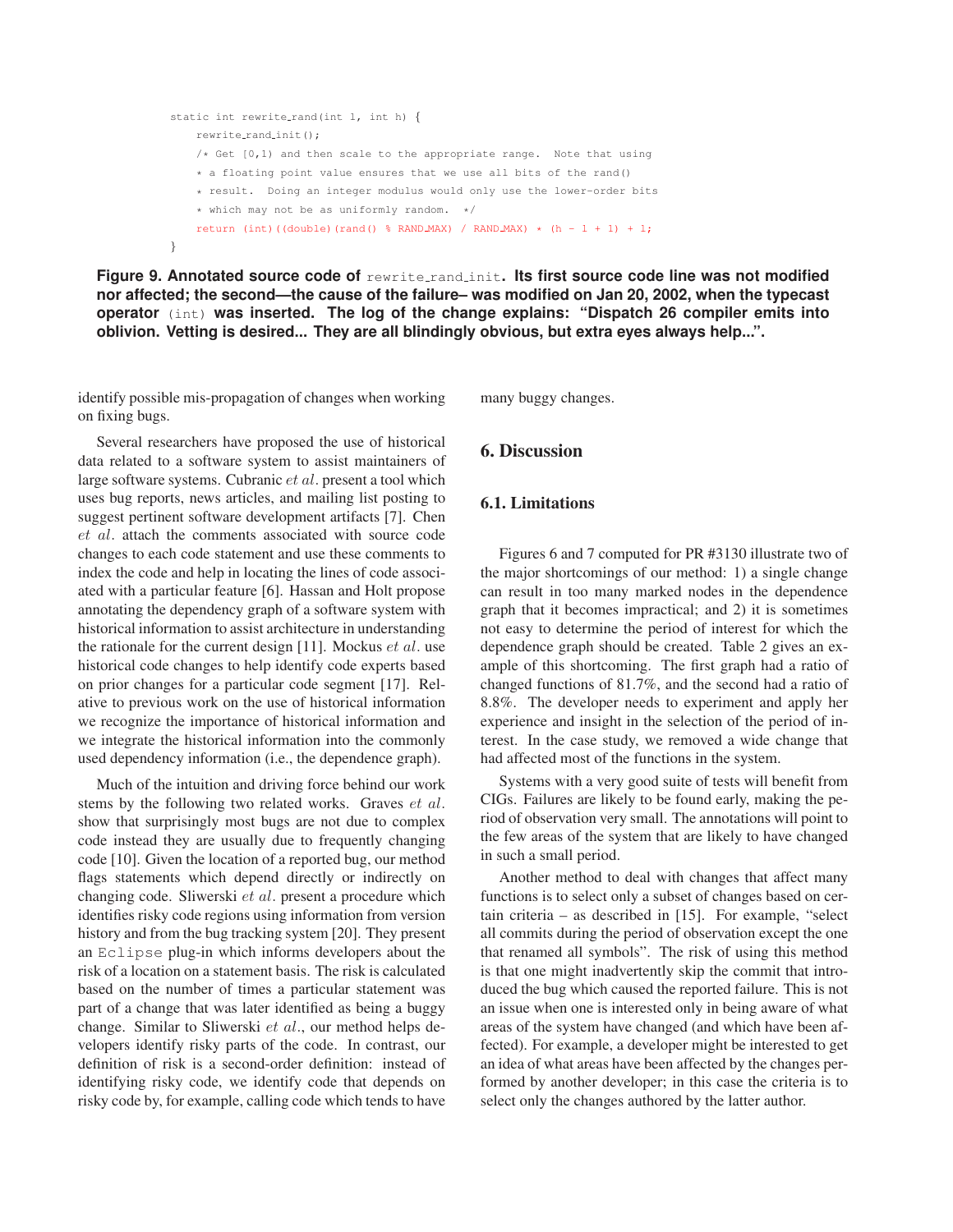```
static int rewrite_rand(int 1, int h) {
rewrite_rand_init();
 /* Get [0,1) and then scale to the appropriate range. Note that using
 * a floating point value ensures that we use all bits of the rand()
 * result. Doing an integer modulus would only use the lower-order bits
 * which may not be as uniformly random. */
 return (int)((double)(rand() % RAND_MAX) / RAND_MAX) * (h - 1 + 1) + 1;}
```
**Figure 9. Annotated source code of** rewrite rand init**. Its first source code line was not modified nor affected; the second—the cause of the failure– was modified on Jan 20, 2002, when the typecast operator** (int) **was inserted. The log of the change explains: "Dispatch 26 compiler emits into oblivion. Vetting is desired... They are all blindingly obvious, but extra eyes always help...".**

identify possible mis-propagation of changes when working on fixing bugs.

many buggy changes.

Several researchers have proposed the use of historical data related to a software system to assist maintainers of large software systems. Cubranic et al. present a tool which uses bug reports, news articles, and mailing list posting to suggest pertinent software development artifacts [7]. Chen et al. attach the comments associated with source code changes to each code statement and use these comments to index the code and help in locating the lines of code associated with a particular feature [6]. Hassan and Holt propose annotating the dependency graph of a software system with historical information to assist architecture in understanding the rationale for the current design [11]. Mockus  $et$   $al$ . use historical code changes to help identify code experts based on prior changes for a particular code segment [17]. Relative to previous work on the use of historical information we recognize the importance of historical information and we integrate the historical information into the commonly used dependency information (i.e., the dependence graph).

Much of the intuition and driving force behind our work stems by the following two related works. Graves et al. show that surprisingly most bugs are not due to complex code instead they are usually due to frequently changing code [10]. Given the location of a reported bug, our method flags statements which depend directly or indirectly on changing code. Sliwerski et al. present a procedure which identifies risky code regions using information from version history and from the bug tracking system [20]. They present an Eclipse plug-in which informs developers about the risk of a location on a statement basis. The risk is calculated based on the number of times a particular statement was part of a change that was later identified as being a buggy change. Similar to Sliwerski et al., our method helps developers identify risky parts of the code. In contrast, our definition of risk is a second-order definition: instead of identifying risky code, we identify code that depends on risky code by, for example, calling code which tends to have

# **6. Discussion**

### **6.1. Limitations**

Figures 6 and 7 computed for PR #3130 illustrate two of the major shortcomings of our method: 1) a single change can result in too many marked nodes in the dependence graph that it becomes impractical; and 2) it is sometimes not easy to determine the period of interest for which the dependence graph should be created. Table 2 gives an example of this shortcoming. The first graph had a ratio of changed functions of 81.7%, and the second had a ratio of 8.8%. The developer needs to experiment and apply her experience and insight in the selection of the period of interest. In the case study, we removed a wide change that had affected most of the functions in the system.

Systems with a very good suite of tests will benefit from CIGs. Failures are likely to be found early, making the period of observation very small. The annotations will point to the few areas of the system that are likely to have changed in such a small period.

Another method to deal with changes that affect many functions is to select only a subset of changes based on certain criteria – as described in [15]. For example, "select all commits during the period of observation except the one that renamed all symbols". The risk of using this method is that one might inadvertently skip the commit that introduced the bug which caused the reported failure. This is not an issue when one is interested only in being aware of what areas of the system have changed (and which have been affected). For example, a developer might be interested to get an idea of what areas have been affected by the changes performed by another developer; in this case the criteria is to select only the changes authored by the latter author.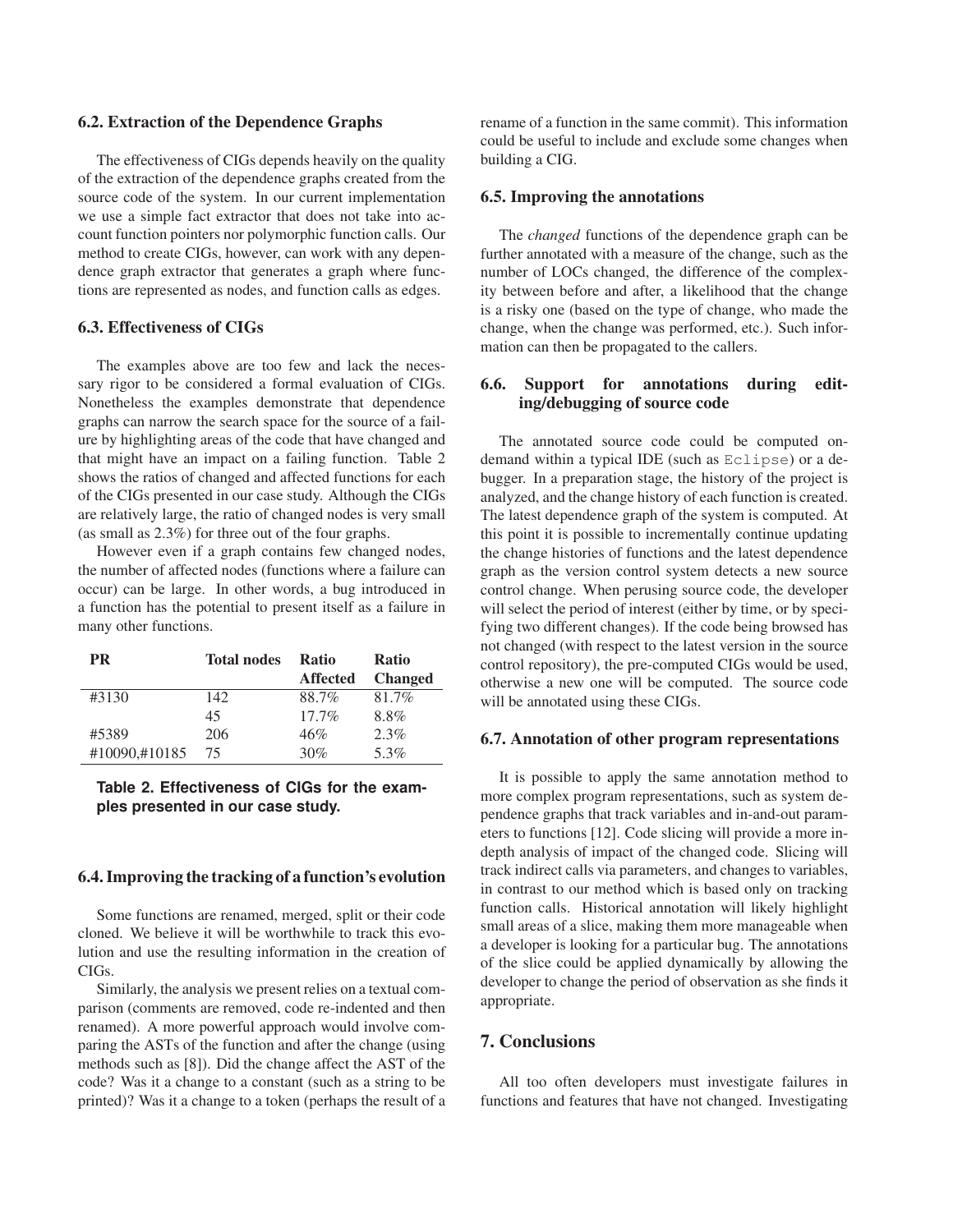### **6.2. Extraction of the Dependence Graphs**

The effectiveness of CIGs depends heavily on the quality of the extraction of the dependence graphs created from the source code of the system. In our current implementation we use a simple fact extractor that does not take into account function pointers nor polymorphic function calls. Our method to create CIGs, however, can work with any dependence graph extractor that generates a graph where functions are represented as nodes, and function calls as edges.

#### **6.3. Effectiveness of CIGs**

The examples above are too few and lack the necessary rigor to be considered a formal evaluation of CIGs. Nonetheless the examples demonstrate that dependence graphs can narrow the search space for the source of a failure by highlighting areas of the code that have changed and that might have an impact on a failing function. Table 2 shows the ratios of changed and affected functions for each of the CIGs presented in our case study. Although the CIGs are relatively large, the ratio of changed nodes is very small (as small as 2.3%) for three out of the four graphs.

However even if a graph contains few changed nodes, the number of affected nodes (functions where a failure can occur) can be large. In other words, a bug introduced in a function has the potential to present itself as a failure in many other functions.

| <b>PR</b>     | <b>Total nodes</b> | <b>Ratio</b>    | <b>Ratio</b>   |
|---------------|--------------------|-----------------|----------------|
|               |                    | <b>Affected</b> | <b>Changed</b> |
| #3130         | 142                | 88.7%           | 81.7%          |
|               | 45                 | $17.7\%$        | 8.8%           |
| #5389         | 206                | 46%             | 2.3%           |
| #10090,#10185 | 75                 | 30%             | 5.3%           |

## **Table 2. Effectiveness of CIGs for the examples presented in our case study.**

#### **6.4. Improving the tracking of a function's evolution**

Some functions are renamed, merged, split or their code cloned. We believe it will be worthwhile to track this evolution and use the resulting information in the creation of CIGs.

Similarly, the analysis we present relies on a textual comparison (comments are removed, code re-indented and then renamed). A more powerful approach would involve comparing the ASTs of the function and after the change (using methods such as [8]). Did the change affect the AST of the code? Was it a change to a constant (such as a string to be printed)? Was it a change to a token (perhaps the result of a rename of a function in the same commit). This information could be useful to include and exclude some changes when building a CIG.

### **6.5. Improving the annotations**

The *changed* functions of the dependence graph can be further annotated with a measure of the change, such as the number of LOCs changed, the difference of the complexity between before and after, a likelihood that the change is a risky one (based on the type of change, who made the change, when the change was performed, etc.). Such information can then be propagated to the callers.

## **6.6. Support for annotations during editing/debugging of source code**

The annotated source code could be computed ondemand within a typical IDE (such as Eclipse) or a debugger. In a preparation stage, the history of the project is analyzed, and the change history of each function is created. The latest dependence graph of the system is computed. At this point it is possible to incrementally continue updating the change histories of functions and the latest dependence graph as the version control system detects a new source control change. When perusing source code, the developer will select the period of interest (either by time, or by specifying two different changes). If the code being browsed has not changed (with respect to the latest version in the source control repository), the pre-computed CIGs would be used, otherwise a new one will be computed. The source code will be annotated using these CIGs.

### **6.7. Annotation of other program representations**

It is possible to apply the same annotation method to more complex program representations, such as system dependence graphs that track variables and in-and-out parameters to functions [12]. Code slicing will provide a more indepth analysis of impact of the changed code. Slicing will track indirect calls via parameters, and changes to variables, in contrast to our method which is based only on tracking function calls. Historical annotation will likely highlight small areas of a slice, making them more manageable when a developer is looking for a particular bug. The annotations of the slice could be applied dynamically by allowing the developer to change the period of observation as she finds it appropriate.

### **7. Conclusions**

All too often developers must investigate failures in functions and features that have not changed. Investigating